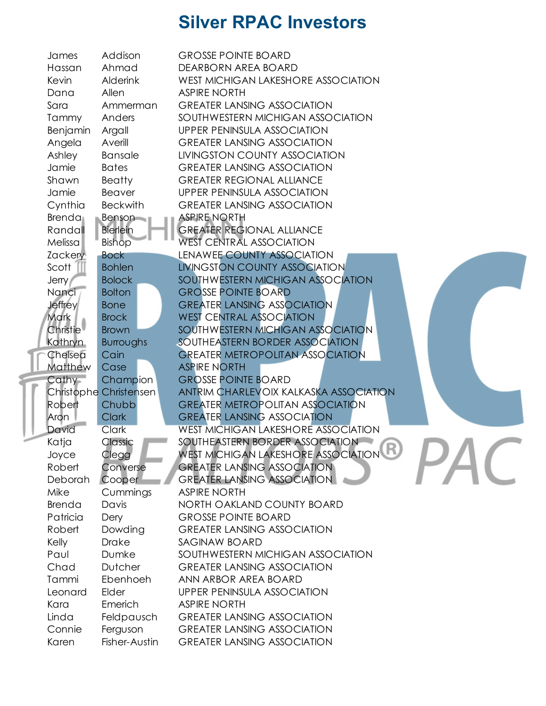|  | James                 | Addison                | <b>GROSSE POINTE BOARD</b>                 |
|--|-----------------------|------------------------|--------------------------------------------|
|  | Hassan                | Ahmad                  | DEARBORN AREA BOARD                        |
|  | Kevin                 | <b>Alderink</b>        | <b>WEST MICHIGAN LAKESHORE ASSOCIATION</b> |
|  | Dana                  | Allen                  | <b>ASPIRE NORTH</b>                        |
|  | Sara                  | Ammerman               | <b>GREATER LANSING ASSOCIATION</b>         |
|  | Tammy                 | Anders                 | SOUTHWESTERN MICHIGAN ASSOCIATION          |
|  | Benjamin              | Argall                 | UPPER PENINSULA ASSOCIATION                |
|  | Angela                | Averill                | <b>GREATER LANSING ASSOCIATION</b>         |
|  | Ashley                | Bansale                | LIVINGSTON COUNTY ASSOCIATION              |
|  | Jamie                 | <b>Bates</b>           | <b>GREATER LANSING ASSOCIATION</b>         |
|  | Shawn                 | Beatty                 | <b>GREATER REGIONAL ALLIANCE</b>           |
|  | Jamie                 | Beaver                 | UPPER PENINSULA ASSOCIATION                |
|  | Cynthia               | <b>Beckwith</b>        | <b>GREATER LANSING ASSOCIATION</b>         |
|  | Brenda                | Benson                 | <b>ASPIRE NORTH</b>                        |
|  | Randall               | <b>Bierlein</b>        | <b>GREATER REGIONAL ALLIANCE</b>           |
|  | Melissa               | <b>Bishop</b>          | <b>WEST CENTRAL ASSOCIATION</b>            |
|  | <b>Zackery</b>        | <b>Bock</b>            | LENAWEE COUNTY ASSOCIATION                 |
|  | Scott                 | <b>Bohlen</b>          | LIVINGSTON COUNTY ASSOCIATION              |
|  | <b>Jerry</b>          | <b>Bolock</b>          | SOUTHWESTERN MICHIGAN ASSOCIATION          |
|  | Nanci                 | <b>Bolton</b>          | <b>GROSSE POINTE BOARD</b>                 |
|  | <b>Jeffrey</b>        | <b>Bone</b>            | <b>GREATER LANSING ASSOCIATION</b>         |
|  | Mark                  | <b>Brock</b>           | <b>WEST CENTRAL ASSOCIATION</b>            |
|  | Christie <sup>1</sup> | <b>Brown</b>           | SOUTHWESTERN MICHIGAN ASSOCIATION          |
|  | Kathryn               | Burroughs              | SOUTHEASTERN BORDER ASSOCIATION            |
|  | Chelsea               | Cain                   | <b>GREATER METROPOLITAN ASSOCIATION</b>    |
|  | Matthew               | Case                   | <b>ASPIRE NORTH</b>                        |
|  | Cathy-                | Champion               | <b>GROSSE POINTE BOARD</b>                 |
|  |                       | Christophe Christensen | ANTRIM CHARLEVOIX KALKASKA ASSOCIATION     |
|  | Robert                | Chubb                  | <b>GREATER METROPOLITAN ASSOCIATION</b>    |
|  | Aron                  | <b>Clark</b>           | <b>GREATER LANSING ASSOCIATION</b>         |
|  | David                 | <b>Clark</b>           | <b>WEST MICHIGAN LAKESHORE ASSOCIATION</b> |
|  | Katja                 | Classic                | SOUTHEASTERN BORDER ASSOCIATION            |
|  | Joyce                 | Clegg                  | WEST MICHIGAN LAKESHORE ASSOCIATION        |
|  | Robert                | Converse               | <b>GREATER LANSING ASSOCIATION</b>         |
|  | Deborah               | Cooper                 | <b>GREATER LANSING ASSOCIATION</b>         |
|  | Mike                  | Cummings               | <b>ASPIRE NORTH</b>                        |
|  | Brenda                | Davis                  | NORTH OAKLAND COUNTY BOARD                 |
|  | Patricia              | Dery                   | <b>GROSSE POINTE BOARD</b>                 |
|  | Robert                | Dowding                | <b>GREATER LANSING ASSOCIATION</b>         |
|  | Kelly                 | <b>Drake</b>           | SAGINAW BOARD                              |
|  | Paul                  | Dumke                  | SOUTHWESTERN MICHIGAN ASSOCIATION          |
|  | Chad                  | <b>Dutcher</b>         | <b>GREATER LANSING ASSOCIATION</b>         |
|  | Tammi                 | Ebenhoeh               | ANN ARBOR AREA BOARD                       |
|  | Leonard               | Elder                  | <b>UPPER PENINSULA ASSOCIATION</b>         |
|  | Kara                  | Emerich                | <b>ASPIRE NORTH</b>                        |
|  | Linda                 | Feldpausch             | <b>GREATER LANSING ASSOCIATION</b>         |
|  | Connie                | Ferguson               | <b>GREATER LANSING ASSOCIATION</b>         |
|  | Karen                 | Fisher-Austin          | <b>GREATER LANSING ASSOCIATION</b>         |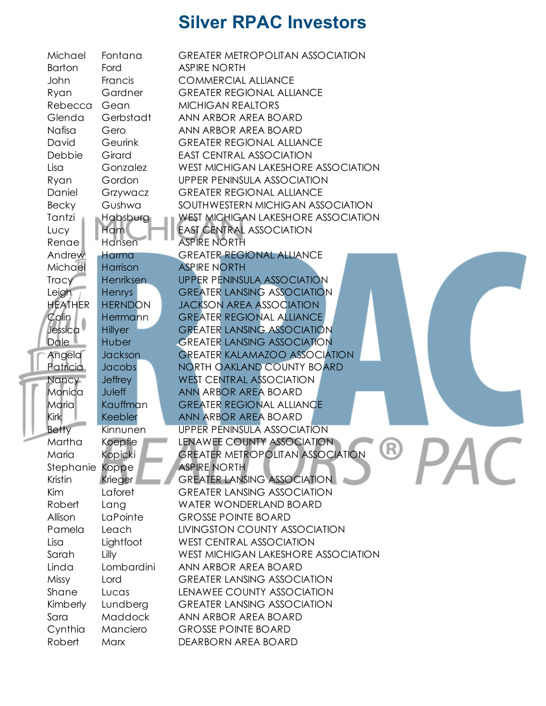| Michael         | Fontana          | <b>GREATER METROPOLITAN ASSOCIATION</b>        |
|-----------------|------------------|------------------------------------------------|
| <b>Barton</b>   | Ford             | <b>ASPIRE NORTH</b>                            |
| John            | Francis          | <b>COMMERCIAL ALLIANCE</b>                     |
| Ryan            | Gardner          | <b>GREATER REGIONAL ALLIANCE</b>               |
| Rebecca         | Gean             | <b>MICHIGAN REALTORS</b>                       |
| Glenda          | Gerbstadt        | ANN ARBOR AREA BOARD                           |
| Nafisa          | Gero             | ANN ARBOR AREA BOARD                           |
| David           | Geurink          | <b>GREATER REGIONAL ALLIANCE</b>               |
| Debbie          | Girard           | <b>EAST CENTRAL ASSOCIATION</b>                |
| Lisa            | Gonzalez         | WEST MICHIGAN LAKESHORE ASSOCIATION            |
| Ryan            | Gordon           | UPPER PENINSULA ASSOCIATION                    |
| Daniel          | Grzywacz         | <b>GREATER REGIONAL ALLIANCE</b>               |
| Becky           | Gushwa           | SOUTHWESTERN MICHIGAN ASSOCIATION              |
| Tantzi          | Habsburg         | WEST MICHIGAN LAKESHORE ASSOCIATION            |
| Lucy            | Ham              | <b>EAST CENTRAL ASSOCIATION</b>                |
| Renae           | Hansen           | ASPIRE NORTH                                   |
| Andrew          | <b>Harma</b>     | <b>GREATER REGIONAL ALLIANCE</b>               |
| Michael         | Harrison         | <b>ASPIRE NORTH</b>                            |
| Tracy           | <b>Henriksen</b> | <b>UPPER PENINSULA ASSOCIATION</b>             |
| Leigh           | <b>Henrys</b>    | <b>GREATER LANSING ASSOCIATION</b>             |
| <b>HEATHER</b>  | <b>HERNDON</b>   | <b>JACKSON AREA ASSOCIATION</b>                |
| Colin           | <b>Herrmann</b>  | <b>GREATER REGIONAL ALLIANCE</b>               |
| Jessica         | <b>Hillyer</b>   | <b>GREATER LANSING ASSOCIATION</b>             |
| Dale            | Huber            | <b>GREATER LANSING ASSOCIATION</b>             |
| Angela          | <b>Jackson</b>   | <b>GREATER KALAMAZOO ASSOCIATION</b>           |
| <b>Patricia</b> | Jacobs           | NORTH OAKLAND COUNTY BOARD                     |
| Nancy           | <b>Jeffrey</b>   | <b>WEST CENTRAL ASSOCIATION</b>                |
| Monica          | <b>Juleff</b>    | ANN ARBOR AREA BOARD                           |
| <b>Maria</b>    | Kauffman         | <b>GREATER REGIONAL ALLIANCE</b>               |
| <b>Kirk</b>     | Keebler          | ANN ARBOR AREA BOARD                           |
| <b>Betty</b>    | Kinnunen         | <b>UPPER PENINSULA ASSOCIATION</b>             |
| Martha          | Koepfle          | LENAWEE COUNTY ASSOCIATION                     |
| Maria           | Kopicki          | UN)<br><b>GREATER METROPOLITAN ASSOCIATION</b> |
| Stephanie       | Koppe            | <b>ASPIRE NORTH</b>                            |
| Kristin         | Krieger          | <b>GREATER LANSING ASSOCIATION</b>             |
| Kim             | Laforet          | <b>GREATER LANSING ASSOCIATION</b>             |
| Robert          | Lang             | WATER WONDERLAND BOARD                         |
| Allison         | LaPointe         | <b>GROSSE POINTE BOARD</b>                     |
| Pamela          | Leach            | LIVINGSTON COUNTY ASSOCIATION                  |
| Lisa            | Lightfoot        | <b>WEST CENTRAL ASSOCIATION</b>                |
| Sarah           | Lilly            | WEST MICHIGAN LAKESHORE ASSOCIATION            |
| Linda           | Lombardini       | ANN ARBOR AREA BOARD                           |
| Missy           | Lord             | <b>GREATER LANSING ASSOCIATION</b>             |
| Shane           | Lucas            | LENAWEE COUNTY ASSOCIATION                     |
| Kimberly        | Lundberg         | <b>GREATER LANSING ASSOCIATION</b>             |
| Sara            | Maddock          | ANN ARBOR AREA BOARD                           |
| Cynthia         | Manciero         | <b>GROSSE POINTE BOARD</b>                     |
| Robert          | Marx             | DEARBORN AREA BOARD                            |
|                 |                  |                                                |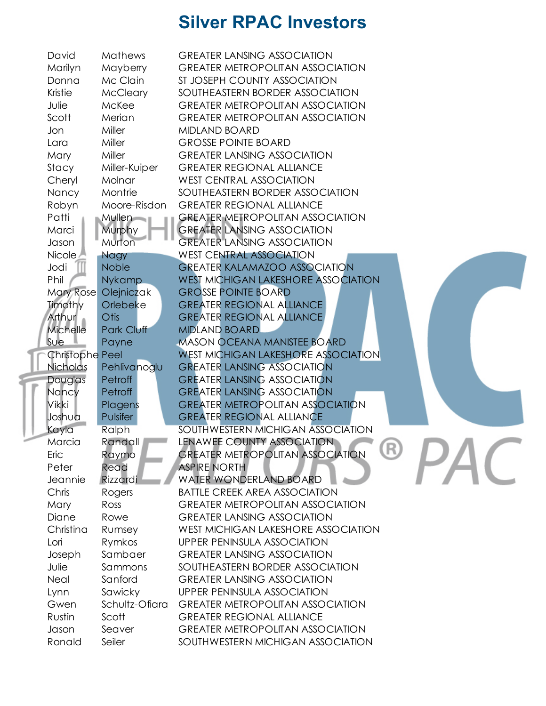| David                  | Mathews              | <b>GREATER LANSING ASSOCIATION</b>             |
|------------------------|----------------------|------------------------------------------------|
| Marilyn                | Mayberry             | <b>GREATER METROPOLITAN ASSOCIATION</b>        |
| Donna                  | Mc Clain             | ST JOSEPH COUNTY ASSOCIATION                   |
| Kristie                | <b>McCleary</b>      | SOUTHEASTERN BORDER ASSOCIATION                |
| Julie                  | McKee                | <b>GREATER METROPOLITAN ASSOCIATION</b>        |
| Scott                  | Merian               | <b>GREATER METROPOLITAN ASSOCIATION</b>        |
| Jon                    | Miller               | <b>MIDLAND BOARD</b>                           |
| Lara                   | Miller               | <b>GROSSE POINTE BOARD</b>                     |
| Mary                   | Miller               | <b>GREATER LANSING ASSOCIATION</b>             |
| Stacy                  | Miller-Kuiper        | <b>GREATER REGIONAL ALLIANCE</b>               |
| Cheryl                 | Molnar               | <b>WEST CENTRAL ASSOCIATION</b>                |
| Nancy                  | Montrie              | SOUTHEASTERN BORDER ASSOCIATION                |
| Robyn                  | Moore-Risdon         | <b>GREATER REGIONAL ALLIANCE</b>               |
| Patti                  | <b>Mullen</b>        | <b>GREATER METROPOLITAN ASSOCIATION</b>        |
| Marci                  | Murphy               | <b>GREATER LANSING ASSOCIATION</b>             |
| Jason                  | Murton               | <b>GREATER LANSING ASSOCIATION</b>             |
| Nicole /               | <b>Nagy</b>          | <b>WEST CENTRAL ASSOCIATION</b>                |
| Jodi                   | <b>Noble</b>         | <b>GREATER KALAMAZOO ASSOCIATION</b>           |
| Phil                   | <b>Nykamp</b>        | <b>WEST MICHIGAN LAKESHORE ASSOCIATION</b>     |
|                        | Mary Rose Olejniczak | <b>GROSSE POINTE BOARD</b>                     |
| Timothy                | Orlebeke             | <b>GREATER REGIONAL ALLIANCE</b>               |
| Arthur                 | Otis                 | <b>GREATER REGIONAL ALLIANCE</b>               |
| Michelle               | Park Cluff           | <b>MIDLAND BOARD</b>                           |
| Sue.                   | Payne                | <b>MASON OCEANA MANISTEE BOARD</b>             |
| <b>Christophe Peel</b> |                      | <b>WEST MICHIGAN LAKESHORE ASSOCIATION</b>     |
| Nicholas               | Pehlivanoglu         | <b>GREATER LANSING ASSOCIATION</b>             |
| Douglas                | Petroff              | <b>GREATER LANSING ASSOCIATION</b>             |
| Nancy                  | Petroff              | <b>GREATER LANSING ASSOCIATION</b>             |
| <b>Vikki</b>           | Plagens              | <b>GREATER METROPOLITAN ASSOCIATION</b>        |
| Joshua                 | Pulsifer             | <b>GREATER REGIONAL ALLIANCE</b>               |
| Kayla                  | Ralph                | SOUTHWESTERN MICHIGAN ASSOCIATION              |
| Marcia                 | Randall              | LENAWEE COUNTY ASSOCIATION                     |
| Eric                   | Raymo                | UV.<br><b>GREATER METROPOLITAN ASSOCIATION</b> |
| Peter                  | Read                 | <b>ASPIRE NORTH</b>                            |
| Jeannie                | Rizzardi             | WATER WONDERLAND BOARD                         |
| Chris                  | Rogers               | <b>BATTLE CREEK AREA ASSOCIATION</b>           |
| Mary                   | Ross                 | <b>GREATER METROPOLITAN ASSOCIATION</b>        |
| Diane                  | Rowe                 | <b>GREATER LANSING ASSOCIATION</b>             |
| Christina              | Rumsey               | <b>WEST MICHIGAN LAKESHORE ASSOCIATION</b>     |
| Lori                   | Rymkos               | <b>UPPER PENINSULA ASSOCIATION</b>             |
| Joseph                 | Sambaer              | <b>GREATER LANSING ASSOCIATION</b>             |
| Julie                  | Sammons              | SOUTHEASTERN BORDER ASSOCIATION                |
| Neal                   | Sanford              | <b>GREATER LANSING ASSOCIATION</b>             |
| Lynn                   | Sawicky              | <b>UPPER PENINSULA ASSOCIATION</b>             |
| Gwen                   | Schultz-Ofiara       | <b>GREATER METROPOLITAN ASSOCIATION</b>        |
| Rustin                 | Scott                | <b>GREATER REGIONAL ALLIANCE</b>               |
| Jason                  | Seaver               | <b>GREATER METROPOLITAN ASSOCIATION</b>        |
|                        |                      | SOUTHWESTERN MICHIGAN ASSOCIATION              |
| Ronald                 | Seiler               |                                                |